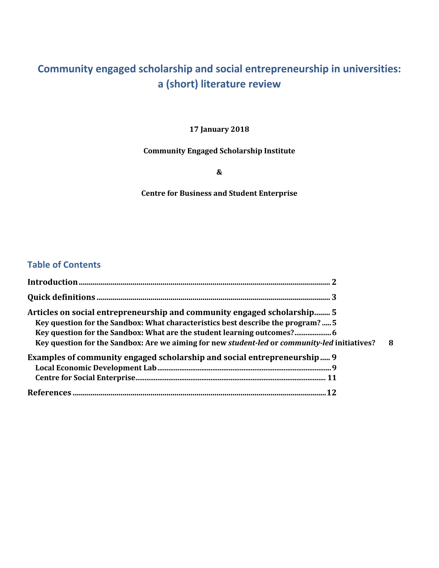# **Community engaged scholarship and social entrepreneurship in universities: a (short) literature review**

### **17 January 2018**

#### **Community Engaged Scholarship Institute**

**&**

### **Centre for Business and Student Enterprise**

## **Table of Contents**

| Articles on social entrepreneurship and community engaged scholarship 5<br>Key question for the Sandbox: What characteristics best describe the program?  5<br>Key question for the Sandbox: What are the student learning outcomes?<br>Key question for the Sandbox: Are we aiming for new student-led or community-led initiatives? | 8 |
|---------------------------------------------------------------------------------------------------------------------------------------------------------------------------------------------------------------------------------------------------------------------------------------------------------------------------------------|---|
| Examples of community engaged scholarship and social entrepreneurship 9                                                                                                                                                                                                                                                               |   |
|                                                                                                                                                                                                                                                                                                                                       |   |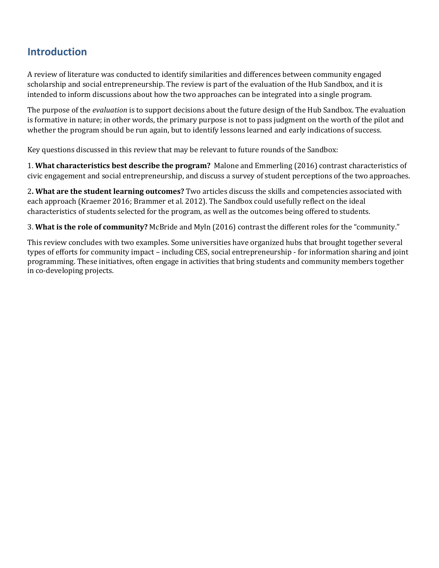## **Introduction**

A review of literature was conducted to identify similarities and differences between community engaged scholarship and social entrepreneurship. The review is part of the evaluation of the Hub Sandbox, and it is intended to inform discussions about how the two approaches can be integrated into a single program.

The purpose of the *evaluation* is to support decisions about the future design of the Hub Sandbox. The evaluation is formative in nature; in other words, the primary purpose is not to pass judgment on the worth of the pilot and whether the program should be run again, but to identify lessons learned and early indications of success.

Key questions discussed in this review that may be relevant to future rounds of the Sandbox:

1. What characteristics best describe the program? Malone and Emmerling (2016) contrast characteristics of civic engagement and social entrepreneurship, and discuss a survey of student perceptions of the two approaches.

2. What are the student learning outcomes? Two articles discuss the skills and competencies associated with each approach (Kraemer 2016; Brammer et al. 2012). The Sandbox could usefully reflect on the ideal characteristics of students selected for the program, as well as the outcomes being offered to students.

3. **What is the role of community?** McBride and Myln (2016) contrast the different roles for the "community."

This review concludes with two examples. Some universities have organized hubs that brought together several types of efforts for community impact – including CES, social entrepreneurship - for information sharing and joint programming. These initiatives, often engage in activities that bring students and community members together in co-developing projects.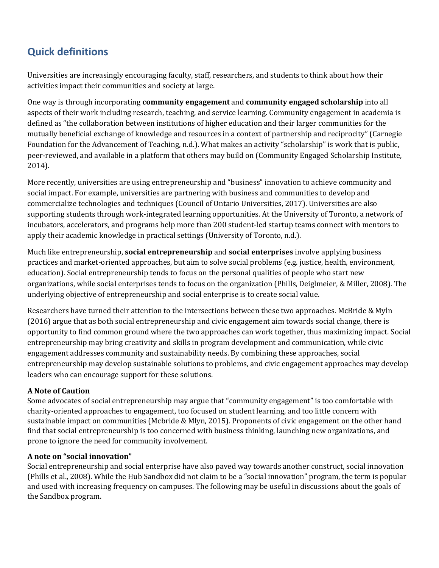# **Quick definitions**

Universities are increasingly encouraging faculty, staff, researchers, and students to think about how their activities impact their communities and society at large.

One way is through incorporating **community engagement** and **community engaged scholarship** into all aspects of their work including research, teaching, and service learning. Community engagement in academia is defined as "the collaboration between institutions of higher education and their larger communities for the mutually beneficial exchange of knowledge and resources in a context of partnership and reciprocity" (Carnegie Foundation for the Advancement of Teaching, n.d.). What makes an activity "scholarship" is work that is public, peer-reviewed, and available in a platform that others may build on (Community Engaged Scholarship Institute, 2014). 

More recently, universities are using entrepreneurship and "business" innovation to achieve community and social impact. For example, universities are partnering with business and communities to develop and commercialize technologies and techniques (Council of Ontario Universities, 2017). Universities are also supporting students through work-integrated learning opportunities. At the University of Toronto, a network of incubators, accelerators, and programs help more than 200 student-led startup teams connect with mentors to apply their academic knowledge in practical settings (University of Toronto, n.d.).

Much like entrepreneurship, **social entrepreneurship** and **social enterprises** involve applying business practices and market-oriented approaches, but aim to solve social problems (e.g. justice, health, environment, education). Social entrepreneurship tends to focus on the personal qualities of people who start new organizations, while social enterprises tends to focus on the organization (Phills, Deiglmeier, & Miller, 2008). The underlying objective of entrepreneurship and social enterprise is to create social value.

Researchers have turned their attention to the intersections between these two approaches. McBride & Myln (2016) argue that as both social entrepreneurship and civic engagement aim towards social change, there is opportunity to find common ground where the two approaches can work together, thus maximizing impact. Social entrepreneurship may bring creativity and skills in program development and communication, while civic engagement addresses community and sustainability needs. By combining these approaches, social entrepreneurship may develop sustainable solutions to problems, and civic engagement approaches may develop leaders who can encourage support for these solutions.

### **A Note of Caution**

Some advocates of social entrepreneurship may argue that "community engagement" is too comfortable with charity-oriented approaches to engagement, too focused on student learning, and too little concern with sustainable impact on communities (Mcbride & Mlyn, 2015). Proponents of civic engagement on the other hand find that social entrepreneurship is too concerned with business thinking, launching new organizations, and prone to ignore the need for community involvement.

### **A note on "social innovation"**

Social entrepreneurship and social enterprise have also paved way towards another construct, social innovation (Phills et al., 2008). While the Hub Sandbox did not claim to be a "social innovation" program, the term is popular and used with increasing frequency on campuses. The following may be useful in discussions about the goals of the Sandbox program.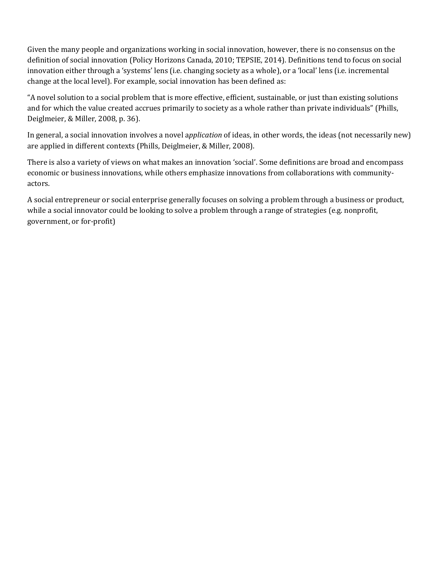Given the many people and organizations working in social innovation, however, there is no consensus on the definition of social innovation (Policy Horizons Canada, 2010; TEPSIE, 2014). Definitions tend to focus on social innovation either through a 'systems' lens (i.e. changing society as a whole), or a 'local' lens (i.e. incremental change at the local level). For example, social innovation has been defined as:

"A novel solution to a social problem that is more effective, efficient, sustainable, or just than existing solutions and for which the value created accrues primarily to society as a whole rather than private individuals" (Phills, Deiglmeier, & Miller, 2008, p. 36).

In general, a social innovation involves a novel application of ideas, in other words, the ideas (not necessarily new) are applied in different contexts (Phills, Deiglmeier, & Miller, 2008).

There is also a variety of views on what makes an innovation 'social'. Some definitions are broad and encompass economic or business innovations, while others emphasize innovations from collaborations with communityactors.

A social entrepreneur or social enterprise generally focuses on solving a problem through a business or product, while a social innovator could be looking to solve a problem through a range of strategies (e.g. nonprofit, government, or for-profit)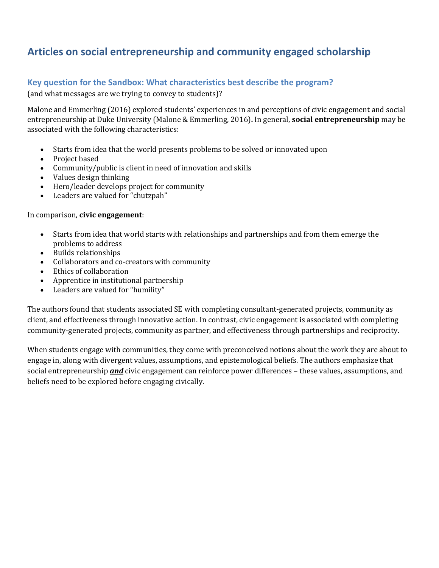## **Articles on social entrepreneurship and community engaged scholarship**

## **Key question for the Sandbox: What characteristics best describe the program?**

(and what messages are we trying to convey to students)?

Malone and Emmerling (2016) explored students' experiences in and perceptions of civic engagement and social entrepreneurship at Duke University (Malone & Emmerling, 2016). In general, **social entrepreneurship** may be associated with the following characteristics:

- Starts from idea that the world presents problems to be solved or innovated upon
- Project based
- Community/public is client in need of innovation and skills
- Values design thinking
- Hero/leader develops project for community
- Leaders are valued for "chutzpah"

#### In comparison, **civic engagement**:

- Starts from idea that world starts with relationships and partnerships and from them emerge the problems to address
- Builds relationships
- Collaborators and co-creators with community
- Ethics of collaboration
- Apprentice in institutional partnership
- Leaders are valued for "humility"

The authors found that students associated SE with completing consultant-generated projects, community as client, and effectiveness through innovative action. In contrast, civic engagement is associated with completing community-generated projects, community as partner, and effectiveness through partnerships and reciprocity.

When students engage with communities, they come with preconceived notions about the work they are about to engage in, along with divergent values, assumptions, and epistemological beliefs. The authors emphasize that social entrepreneurship **and** civic engagement can reinforce power differences – these values, assumptions, and beliefs need to be explored before engaging civically.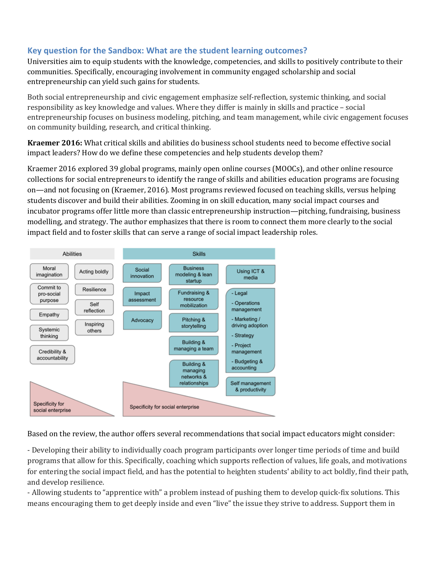## **Key question for the Sandbox: What are the student learning outcomes?**

Universities aim to equip students with the knowledge, competencies, and skills to positively contribute to their communities. Specifically, encouraging involvement in community engaged scholarship and social entrepreneurship can yield such gains for students.

Both social entrepreneurship and civic engagement emphasize self-reflection, systemic thinking, and social responsibility as key knowledge and values. Where they differ is mainly in skills and practice - social entrepreneurship focuses on business modeling, pitching, and team management, while civic engagement focuses on community building, research, and critical thinking.

**Kraemer 2016:** What critical skills and abilities do business school students need to become effective social impact leaders? How do we define these competencies and help students develop them?

Kraemer 2016 explored 39 global programs, mainly open online courses (MOOCs), and other online resource collections for social entrepreneurs to identify the range of skills and abilities education programs are focusing on—and not focusing on (Kraemer, 2016). Most programs reviewed focused on teaching skills, versus helping students discover and build their abilities. Zooming in on skill education, many social impact courses and incubator programs offer little more than classic entrepreneurship instruction—pitching, fundraising, business modelling, and strategy. The author emphasizes that there is room to connect them more clearly to the social impact field and to foster skills that can serve a range of social impact leadership roles.



Based on the review, the author offers several recommendations that social impact educators might consider:

- Developing their ability to individually coach program participants over longer time periods of time and build programs that allow for this. Specifically, coaching which supports reflection of values, life goals, and motivations for entering the social impact field, and has the potential to heighten students' ability to act boldly, find their path, and develop resilience.

- Allowing students to "apprentice with" a problem instead of pushing them to develop quick-fix solutions. This means encouraging them to get deeply inside and even "live" the issue they strive to address. Support them in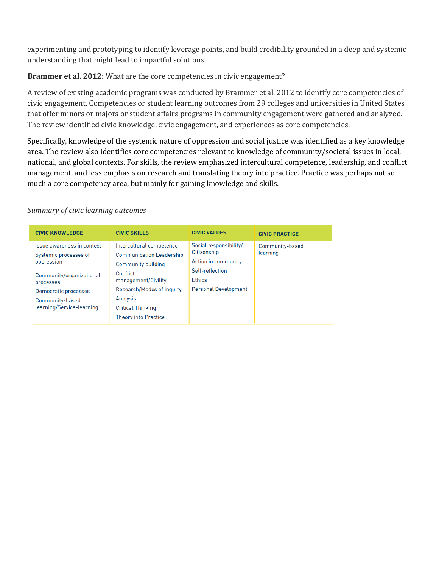experimenting and prototyping to identify leverage points, and build credibility grounded in a deep and systemic understanding that might lead to impactful solutions.

**Brammer et al. 2012:** What are the core competencies in civic engagement?

A review of existing academic programs was conducted by Brammer et al. 2012 to identify core competencies of civic engagement. Competencies or student learning outcomes from 29 colleges and universities in United States that offer minors or majors or student affairs programs in community engagement were gathered and analyzed. The review identified civic knowledge, civic engagement, and experiences as core competencies.

Specifically, knowledge of the systemic nature of oppression and social justice was identified as a key knowledge area. The review also identifies core competencies relevant to knowledge of community/societal issues in local, national, and global contexts. For skills, the review emphasized intercultural competence, leadership, and conflict management, and less emphasis on research and translating theory into practice. Practice was perhaps not so much a core competency area, but mainly for gaining knowledge and skills.

#### *Summary of civic learning outcomes*

| <b>CIVIC KNOWLEDGE</b>                                                                                                                                                             | <b>CIVIC SKILLS</b>                                                                                                                                                                                                             | <b>CIVIC VALUES</b>                                                                                                             | <b>CIVIC PRACTICE</b>       |
|------------------------------------------------------------------------------------------------------------------------------------------------------------------------------------|---------------------------------------------------------------------------------------------------------------------------------------------------------------------------------------------------------------------------------|---------------------------------------------------------------------------------------------------------------------------------|-----------------------------|
| Issue awareness in context<br>Systemic processes of<br>oppression<br>Community/organizational<br>processes<br>Democratic processes<br>Community-based<br>learning/Service-learning | Intercultural competence<br><b>Communication Leadership</b><br><b>Community building</b><br>Conflict<br>management/Civility<br>Research/Modes of Inquiry<br>Analysis<br><b>Critical Thinking</b><br><b>Theory into Practice</b> | Social responsibility/<br>Citizenship<br>Action in community<br>Self-reflection<br><b>Ethics</b><br><b>Personal Development</b> | Community-based<br>learning |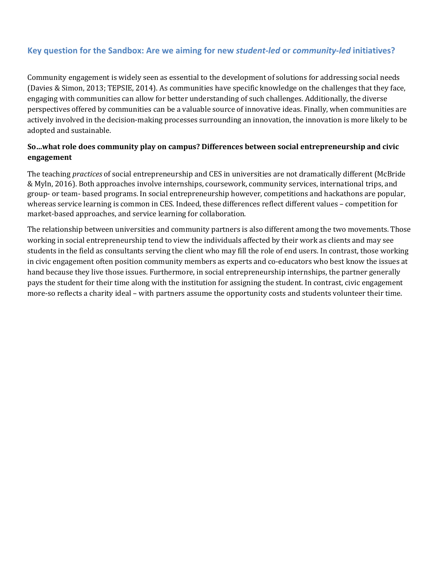## **Key question for the Sandbox: Are we aiming for new** *student-led* **or** *community-led* **initiatives?**

Community engagement is widely seen as essential to the development of solutions for addressing social needs (Davies & Simon, 2013; TEPSIE, 2014). As communities have specific knowledge on the challenges that they face, engaging with communities can allow for better understanding of such challenges. Additionally, the diverse perspectives offered by communities can be a valuable source of innovative ideas. Finally, when communities are actively involved in the decision-making processes surrounding an innovation, the innovation is more likely to be adopted and sustainable.

### So...what role does community play on campus? Differences between social entrepreneurship and civic **engagement**

The teaching *practices* of social entrepreneurship and CES in universities are not dramatically different (McBride & Myln, 2016). Both approaches involve internships, coursework, community services, international trips, and group- or team- based programs. In social entrepreneurship however, competitions and hackathons are popular, whereas service learning is common in CES. Indeed, these differences reflect different values - competition for market-based approaches, and service learning for collaboration.

The relationship between universities and community partners is also different among the two movements. Those working in social entrepreneurship tend to view the individuals affected by their work as clients and may see students in the field as consultants serving the client who may fill the role of end users. In contrast, those working in civic engagement often position community members as experts and co-educators who best know the issues at hand because they live those issues. Furthermore, in social entrepreneurship internships, the partner generally pays the student for their time along with the institution for assigning the student. In contrast, civic engagement more-so reflects a charity ideal – with partners assume the opportunity costs and students volunteer their time.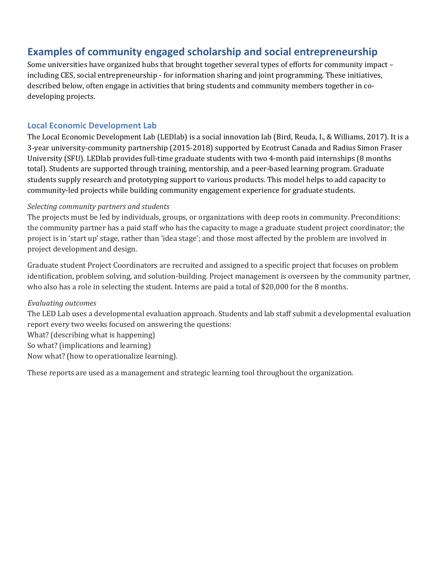## **Examples of community engaged scholarship and social entrepreneurship**

Some universities have organized hubs that brought together several types of efforts for community impact – including CES, social entrepreneurship - for information sharing and joint programming. These initiatives, described below, often engage in activities that bring students and community members together in codeveloping projects.

### **Local Economic Development Lab**

The Local Economic Development Lab (LEDlab) is a social innovation lab (Bird, Reuda, I., & Williams, 2017). It is a  $3$ -year university-community partnership (2015-2018) supported by Ecotrust Canada and Radius Simon Fraser University (SFU). LED lab provides full-time graduate students with two 4-month paid internships (8 months total). Students are supported through training, mentorship, and a peer-based learning program. Graduate students supply research and prototyping support to various products. This model helps to add capacity to community-led projects while building community engagement experience for graduate students.

#### *Selecting community partners and students*

The projects must be led by individuals, groups, or organizations with deep roots in community. Preconditions: the community partner has a paid staff who has the capacity to mage a graduate student project coordinator; the project is in 'start up' stage, rather than 'idea stage'; and those most affected by the problem are involved in project development and design.

Graduate student Project Coordinators are recruited and assigned to a specific project that focuses on problem identification, problem solving, and solution-building. Project management is overseen by the community partner, who also has a role in selecting the student. Interns are paid a total of \$20,000 for the 8 months.

### *Evaluating outcomes*

The LED Lab uses a developmental evaluation approach. Students and lab staff submit a developmental evaluation report every two weeks focused on answering the questions:

What? (describing what is happening)

So what? (implications and learning)

Now what? (how to operationalize learning).

These reports are used as a management and strategic learning tool throughout the organization.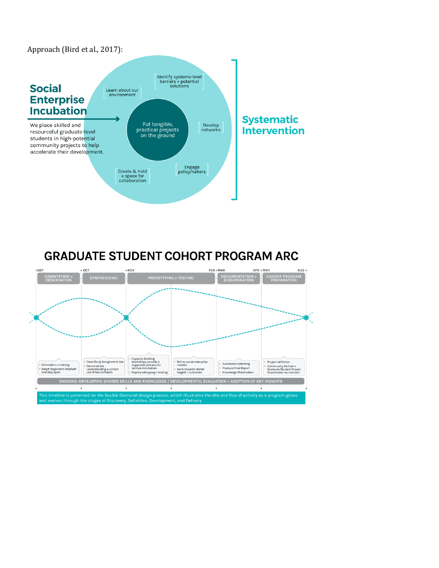



# **GRADUATE STUDENT COHORT PROGRAM ARC**

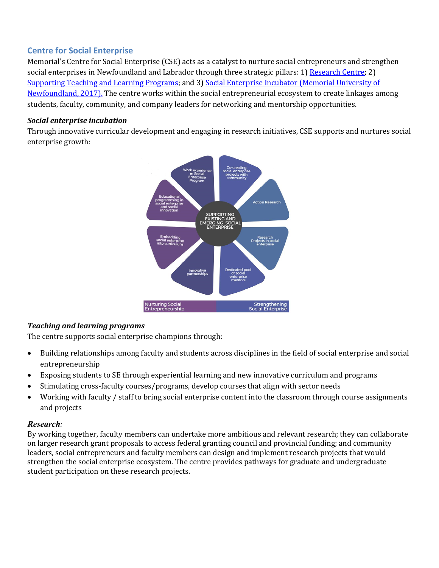## **Centre for Social Enterprise**

Memorial's Centre for Social Enterprise (CSE) acts as a catalyst to nurture social entrepreneurs and strengthen social enterprises in Newfoundland and Labrador through three strategic pillars: 1) Research Centre; 2) Supporting Teaching and Learning Programs; and 3) Social Enterprise Incubator (Memorial University of Newfoundland, 2017). The centre works within the social entrepreneurial ecosystem to create linkages among students, faculty, community, and company leaders for networking and mentorship opportunities.

### *Social enterprise incubation*

Through innovative curricular development and engaging in research initiatives, CSE supports and nurtures social enterprise growth:



## *Teaching and learning programs*

The centre supports social enterprise champions through:

- Building relationships among faculty and students across disciplines in the field of social enterprise and social entrepreneurship
- Exposing students to SE through experiential learning and new innovative curriculum and programs
- Stimulating cross-faculty courses/programs, develop courses that align with sector needs
- Working with faculty / staff to bring social enterprise content into the classroom through course assignments and projects

## *Research:*

By working together, faculty members can undertake more ambitious and relevant research; they can collaborate on larger research grant proposals to access federal granting council and provincial funding; and community leaders, social entrepreneurs and faculty members can design and implement research projects that would strengthen the social enterprise ecosystem. The centre provides pathways for graduate and undergraduate student participation on these research projects.